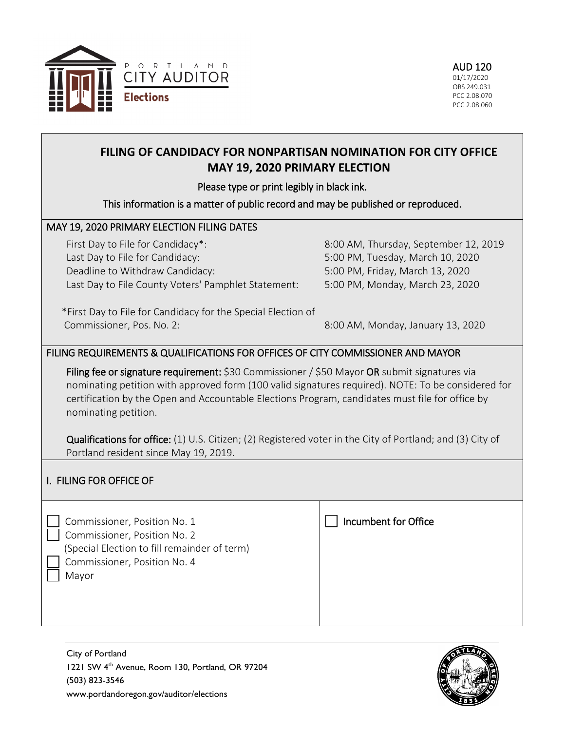

# **FILING OF CANDIDACY FOR NONPARTISAN NOMINATION FOR CITY OFFICE MAY 19, 2020 PRIMARY ELECTION**

## Please type or print legibly in black ink.

### This information is a matter of public record and may be published or reproduced.

## MAY 19, 2020 PRIMARY ELECTION FILING DATES

First Day to File for Candidacy\*: Last Day to File for Candidacy: Deadline to Withdraw Candidacy: Last Day to File County Voters' Pamphlet Statement: 8:00 AM, Thursday, September 12, 2019 5:00 PM, Tuesday, March 10, 2020 5:00 PM, Friday, March 13, 2020 5:00 PM, Monday, March 23, 2020

 \*First Day to File for Candidacy for the Special Election of Commissioner, Pos. No. 2:

8:00 AM, Monday, January 13, 2020

## FILING REQUIREMENTS & QUALIFICATIONS FOR OFFICES OF CITY COMMISSIONER AND MAYOR

Filing fee or signature requirement: \$30 Commissioner / \$50 Mayor OR submit signatures via nominating petition with approved form (100 valid signatures required). NOTE: To be considered for certification by the Open and Accountable Elections Program, candidates must file for office by nominating petition.

Qualifications for office: (1) U.S. Citizen; (2) Registered voter in the City of Portland; and (3) City of Portland resident since May 19, 2019.

## I. FILING FOR OFFICE OF

 Commissioner, Position No. 1 Commissioner, Position No. 2 (Special Election to fill remainder of term) Commissioner, Position No. 4 Mayor



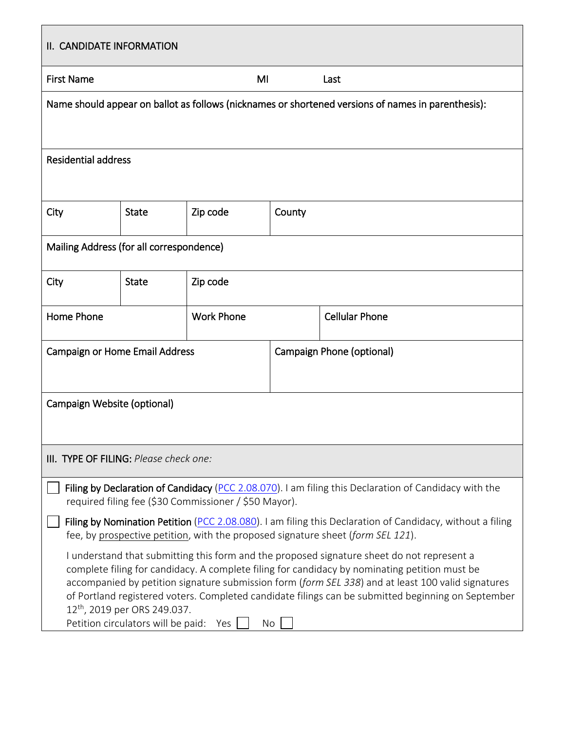| II. CANDIDATE INFORMATION                                                                                                                                                                                                                                                                                                                                                                                                                                                                           |              |                   |                           |                       |  |  |  |  |
|-----------------------------------------------------------------------------------------------------------------------------------------------------------------------------------------------------------------------------------------------------------------------------------------------------------------------------------------------------------------------------------------------------------------------------------------------------------------------------------------------------|--------------|-------------------|---------------------------|-----------------------|--|--|--|--|
| <b>First Name</b>                                                                                                                                                                                                                                                                                                                                                                                                                                                                                   | MI<br>Last   |                   |                           |                       |  |  |  |  |
| Name should appear on ballot as follows (nicknames or shortened versions of names in parenthesis):                                                                                                                                                                                                                                                                                                                                                                                                  |              |                   |                           |                       |  |  |  |  |
| <b>Residential address</b>                                                                                                                                                                                                                                                                                                                                                                                                                                                                          |              |                   |                           |                       |  |  |  |  |
| City                                                                                                                                                                                                                                                                                                                                                                                                                                                                                                | <b>State</b> | Zip code          | County                    |                       |  |  |  |  |
| Mailing Address (for all correspondence)                                                                                                                                                                                                                                                                                                                                                                                                                                                            |              |                   |                           |                       |  |  |  |  |
| City                                                                                                                                                                                                                                                                                                                                                                                                                                                                                                | <b>State</b> | Zip code          |                           |                       |  |  |  |  |
| <b>Home Phone</b>                                                                                                                                                                                                                                                                                                                                                                                                                                                                                   |              | <b>Work Phone</b> |                           | <b>Cellular Phone</b> |  |  |  |  |
| <b>Campaign or Home Email Address</b>                                                                                                                                                                                                                                                                                                                                                                                                                                                               |              |                   | Campaign Phone (optional) |                       |  |  |  |  |
| Campaign Website (optional)                                                                                                                                                                                                                                                                                                                                                                                                                                                                         |              |                   |                           |                       |  |  |  |  |
| III. TYPE OF FILING: Please check one:                                                                                                                                                                                                                                                                                                                                                                                                                                                              |              |                   |                           |                       |  |  |  |  |
| Filing by Declaration of Candidacy (PCC 2.08.070). I am filing this Declaration of Candidacy with the<br>required filing fee (\$30 Commissioner / \$50 Mayor).                                                                                                                                                                                                                                                                                                                                      |              |                   |                           |                       |  |  |  |  |
| Filing by Nomination Petition (PCC 2.08.080). I am filing this Declaration of Candidacy, without a filing<br>fee, by prospective petition, with the proposed signature sheet (form SEL 121).                                                                                                                                                                                                                                                                                                        |              |                   |                           |                       |  |  |  |  |
| I understand that submitting this form and the proposed signature sheet do not represent a<br>complete filing for candidacy. A complete filing for candidacy by nominating petition must be<br>accompanied by petition signature submission form (form SEL 338) and at least 100 valid signatures<br>of Portland registered voters. Completed candidate filings can be submitted beginning on September<br>12 <sup>th</sup> , 2019 per ORS 249.037.<br>Petition circulators will be paid: Yes<br>No |              |                   |                           |                       |  |  |  |  |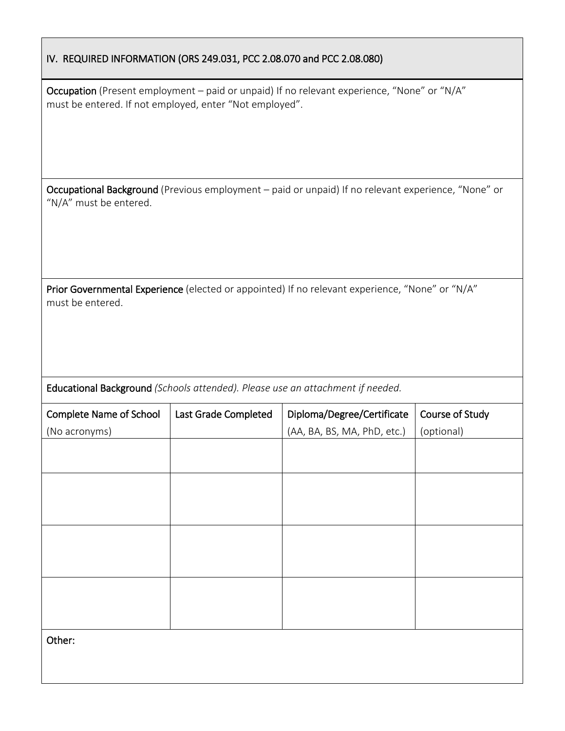|  |  |  |  | IV. REQUIRED INFORMATION (ORS 249.031, PCC 2.08.070 and PCC 2.08.080) |  |
|--|--|--|--|-----------------------------------------------------------------------|--|
|--|--|--|--|-----------------------------------------------------------------------|--|

Occupation (Present employment – paid or unpaid) If no relevant experience, "None" or "N/A" must be entered. If not employed, enter "Not employed".

Occupational Background (Previous employment – paid or unpaid) If no relevant experience, "None" or "N/A" must be entered.

Prior Governmental Experience (elected or appointed) If no relevant experience, "None" or "N/A" must be entered.

Educational Background *(Schools attended). Please use an attachment if needed.*

| <b>Complete Name of School</b> | Last Grade Completed | Diploma/Degree/Certificate  | Course of Study |
|--------------------------------|----------------------|-----------------------------|-----------------|
| (No acronyms)                  |                      | (AA, BA, BS, MA, PhD, etc.) | (optional)      |
|                                |                      |                             |                 |
|                                |                      |                             |                 |
|                                |                      |                             |                 |
|                                |                      |                             |                 |
|                                |                      |                             |                 |
|                                |                      |                             |                 |
|                                |                      |                             |                 |
|                                |                      |                             |                 |
|                                |                      |                             |                 |
|                                |                      |                             |                 |
|                                |                      |                             |                 |
| Other:                         |                      |                             |                 |
|                                |                      |                             |                 |
|                                |                      |                             |                 |